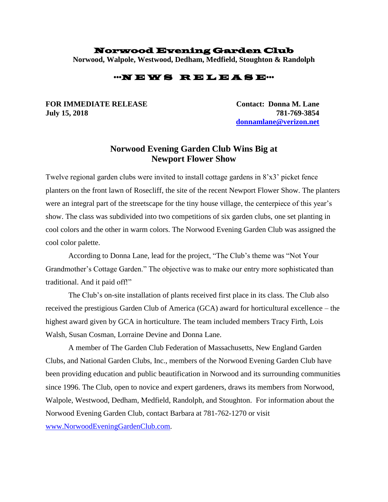## Norwood Evening Garden Club

**Norwood, Walpole, Westwood, Dedham, Medfield, Stoughton & Randolph**

## **•••**N E W S R E L E A S E**•••**

**July 15, 2018 781-769-3854**

**FOR IMMEDIATE RELEASE Contact: Donna M. Lane [donnamlane@verizon.net](mailto:donnamlane@verizon.net)**

## **Norwood Evening Garden Club Wins Big at Newport Flower Show**

Twelve regional garden clubs were invited to install cottage gardens in 8'x3' picket fence planters on the front lawn of Rosecliff, the site of the recent Newport Flower Show. The planters were an integral part of the streetscape for the tiny house village, the centerpiece of this year's show. The class was subdivided into two competitions of six garden clubs, one set planting in cool colors and the other in warm colors. The Norwood Evening Garden Club was assigned the cool color palette.

According to Donna Lane, lead for the project, "The Club's theme was "Not Your Grandmother's Cottage Garden." The objective was to make our entry more sophisticated than traditional. And it paid off!"

The Club's on-site installation of plants received first place in its class. The Club also received the prestigious Garden Club of America (GCA) award for horticultural excellence – the highest award given by GCA in horticulture. The team included members Tracy Firth, Lois Walsh, Susan Cosman, Lorraine Devine and Donna Lane.

A member of The Garden Club Federation of Massachusetts, New England Garden Clubs, and National Garden Clubs, Inc., members of the Norwood Evening Garden Club have been providing education and public beautification in Norwood and its surrounding communities since 1996. The Club, open to novice and expert gardeners, draws its members from Norwood, Walpole, Westwood, Dedham, Medfield, Randolph, and Stoughton. For information about the Norwood Evening Garden Club, contact Barbara at 781-762-1270 or visit [www.NorwoodEveningGardenClub.com.](http://www.norwoodeveninggardenclub.com/)